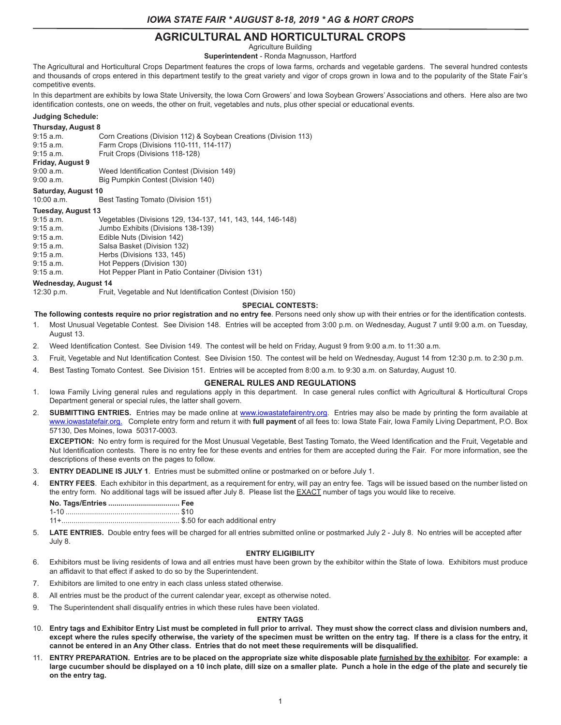# **AGRICULTURAL AND HORTICULTURAL CROPS**

Agriculture Building

**Superintendent** - Ronda Magnusson, Hartford

The Agricultural and Horticultural Crops Department features the crops of Iowa farms, orchards and vegetable gardens. The several hundred contests and thousands of crops entered in this department testify to the great variety and vigor of crops grown in Iowa and to the popularity of the State Fair's competitive events.

In this department are exhibits by Iowa State University, the Iowa Corn Growers' and Iowa Soybean Growers' Associations and others. Here also are two identification contests, one on weeds, the other on fruit, vegetables and nuts, plus other special or educational events.

### **Judging Schedule:**

#### **Thursday, August 8**

| $9:15$ a.m. | Corn Creations (Division 112) & Soybean Creations (Division 113) |
|-------------|------------------------------------------------------------------|
| $9:15$ a.m. | Farm Crops (Divisions 110-111, 114-117)                          |
| $9:15$ a.m. | Fruit Crops (Divisions 118-128)                                  |
|             |                                                                  |

**Friday, August 9** 9:00 a.m. Weed Identification Contest (Division 149)<br>9:00 a.m. Big Pumpkin Contest (Division 140)

Big Pumpkin Contest (Division 140)

# **Saturday, August 10**

10:00 a.m. Best Tasting Tomato (Division 151)

#### **Tuesday, August 13**

| Vegetables (Divisions 129, 134-137, 141, 143, 144, 146-148) |  |  |  |
|-------------------------------------------------------------|--|--|--|
| Jumbo Exhibits (Divisions 138-139)                          |  |  |  |
| Edible Nuts (Division 142)                                  |  |  |  |
| Salsa Basket (Division 132)                                 |  |  |  |
| Herbs (Divisions 133, 145)                                  |  |  |  |
| Hot Peppers (Division 130)                                  |  |  |  |
| Hot Pepper Plant in Patio Container (Division 131)          |  |  |  |
| Wednesday, August 14                                        |  |  |  |
|                                                             |  |  |  |

12:30 p.m. Fruit, Vegetable and Nut Identification Contest (Division 150)

#### **SPECIAL CONTESTS:**

- **The following contests require no prior registration and no entry fee**. Persons need only show up with their entries or for the identification contests.
- 1. Most Unusual Vegetable Contest. See Division 148. Entries will be accepted from 3:00 p.m. on Wednesday, August 7 until 9:00 a.m. on Tuesday, August 13.
- 2. Weed Identification Contest. See Division 149. The contest will be held on Friday, August 9 from 9:00 a.m. to 11:30 a.m.
- 3. Fruit, Vegetable and Nut Identification Contest. See Division 150. The contest will be held on Wednesday, August 14 from 12:30 p.m. to 2:30 p.m.
- 4. Best Tasting Tomato Contest. See Division 151. Entries will be accepted from 8:00 a.m. to 9:30 a.m. on Saturday, August 10.

#### **GENERAL RULES AND REGULATIONS**

- 1. Iowa Family Living general rules and regulations apply in this department. In case general rules conflict with Agricultural & Horticultural Crops Department general or special rules, the latter shall govern.
- 2. **SUBMITTING ENTRIES.** Entries may be made online at www.iowastatefairentry.org. Entries may also be made by printing the form available at www.iowastatefair.org. Complete entry form and return it with **full payment** of all fees to: Iowa State Fair, Iowa Family Living Department, P.O. Box 57130, Des Moines, Iowa 50317-0003.

**EXCEPTION:** No entry form is required for the Most Unusual Vegetable, Best Tasting Tomato, the Weed Identification and the Fruit, Vegetable and Nut Identification contests. There is no entry fee for these events and entries for them are accepted during the Fair. For more information, see the descriptions of these events on the pages to follow.

- 3. **ENTRY DEADLINE IS JULY 1**. Entries must be submitted online or postmarked on or before July 1.
- 4. **ENTRY FEES**. Each exhibitor in this department, as a requirement for entry, will pay an entry fee. Tags will be issued based on the number listed on the entry form. No additional tags will be issued after July 8. Please list the **EXACT** number of tags you would like to receive.

11+.......................................................... \$.50 for each additional entry

5. **LATE ENTRIES.** Double entry fees will be charged for all entries submitted online or postmarked July 2 - July 8. No entries will be accepted after July 8.

#### **ENTRY ELIGIBILITY**

- 6. Exhibitors must be living residents of Iowa and all entries must have been grown by the exhibitor within the State of Iowa. Exhibitors must produce an affidavit to that effect if asked to do so by the Superintendent.
- 7. Exhibitors are limited to one entry in each class unless stated otherwise.
- 8. All entries must be the product of the current calendar year, except as otherwise noted.
- 9. The Superintendent shall disqualify entries in which these rules have been violated.

#### **ENTRY TAGS**

- 10. **Entry tags and Exhibitor Entry List must be completed in full prior to arrival. They must show the correct class and division numbers and, except where the rules specify otherwise, the variety of the specimen must be written on the entry tag. If there is a class for the entry, it cannot be entered in an Any Other class. Entries that do not meet these requirements will be disqualified.**
- 11. **ENTRY PREPARATION. Entries are to be placed on the appropriate size white disposable plate furnished by the exhibitor. For example: a large cucumber should be displayed on a 10 inch plate, dill size on a smaller plate. Punch a hole in the edge of the plate and securely tie on the entry tag.**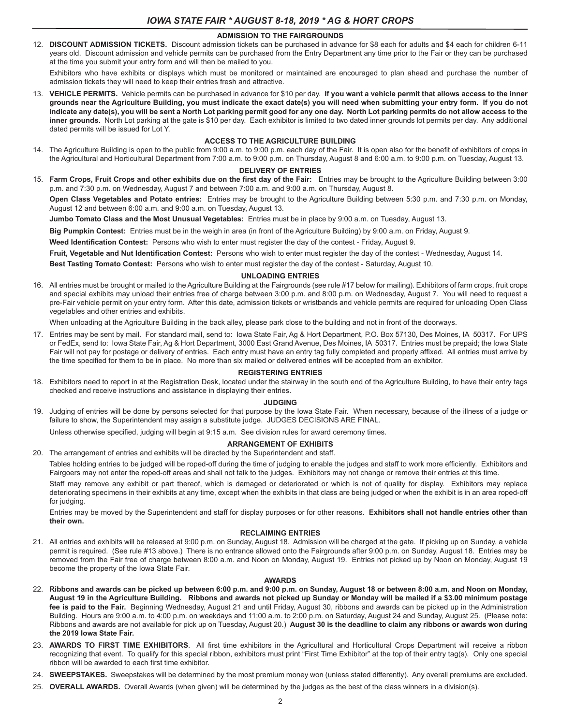#### **ADMISSION TO THE FAIRGROUNDS**

12. **DISCOUNT ADMISSION TICKETS.** Discount admission tickets can be purchased in advance for \$8 each for adults and \$4 each for children 6-11 years old. Discount admission and vehicle permits can be purchased from the Entry Department any time prior to the Fair or they can be purchased at the time you submit your entry form and will then be mailed to you.

Exhibitors who have exhibits or displays which must be monitored or maintained are encouraged to plan ahead and purchase the number of admission tickets they will need to keep their entries fresh and attractive.

13. **VEHICLE PERMITS.** Vehicle permits can be purchased in advance for \$10 per day. **If you want a vehicle permit that allows access to the inner grounds near the Agriculture Building, you must indicate the exact date(s) you will need when submitting your entry form. If you do not indicate any date(s), you will be sent a North Lot parking permit good for any one day. North Lot parking permits do not allow access to the inner grounds.** North Lot parking at the gate is \$10 per day. Each exhibitor is limited to two dated inner grounds lot permits per day. Any additional dated permits will be issued for Lot Y.

#### **ACCESS TO THE AGRICULTURE BUILDING**

14. The Agriculture Building is open to the public from 9:00 a.m. to 9:00 p.m. each day of the Fair. It is open also for the benefit of exhibitors of crops in the Agricultural and Horticultural Department from 7:00 a.m. to 9:00 p.m. on Thursday, August 8 and 6:00 a.m. to 9:00 p.m. on Tuesday, August 13.

#### **DELIVERY OF ENTRIES**

15. **Farm Crops, Fruit Crops and other exhibits due on the first day of the Fair:** Entries may be brought to the Agriculture Building between 3:00 p.m. and 7:30 p.m. on Wednesday, August 7 and between 7:00 a.m. and 9:00 a.m. on Thursday, August 8.

**Open Class Vegetables and Potato entries:** Entries may be brought to the Agriculture Building between 5:30 p.m. and 7:30 p.m. on Monday, August 12 and between 6:00 a.m. and 9:00 a.m. on Tuesday, August 13.

**Jumbo Tomato Class and the Most Unusual Vegetables:** Entries must be in place by 9:00 a.m. on Tuesday, August 13.

**Big Pumpkin Contest:** Entries must be in the weigh in area (in front of the Agriculture Building) by 9:00 a.m. on Friday, August 9.

**Weed Identification Contest:** Persons who wish to enter must register the day of the contest - Friday, August 9.

**Fruit, Vegetable and Nut Identification Contest:** Persons who wish to enter must register the day of the contest - Wednesday, August 14.

**Best Tasting Tomato Contest:** Persons who wish to enter must register the day of the contest - Saturday, August 10.

#### **UNLOADING ENTRIES**

16. All entries must be brought or mailed to the Agriculture Building at the Fairgrounds (see rule #17 below for mailing). Exhibitors of farm crops, fruit crops and special exhibits may unload their entries free of charge between 3:00 p.m. and 8:00 p.m. on Wednesday, August 7. You will need to request a pre-Fair vehicle permit on your entry form. After this date, admission tickets or wristbands and vehicle permits are required for unloading Open Class vegetables and other entries and exhibits.

When unloading at the Agriculture Building in the back alley, please park close to the building and not in front of the doorways.

17. Entries may be sent by mail. For standard mail, send to: Iowa State Fair, Ag & Hort Department, P.O. Box 57130, Des Moines, IA 50317. For UPS or FedEx, send to: Iowa State Fair, Ag & Hort Department, 3000 East Grand Avenue, Des Moines, IA 50317. Entries must be prepaid; the Iowa State Fair will not pay for postage or delivery of entries. Each entry must have an entry tag fully completed and properly affixed. All entries must arrive by the time specified for them to be in place. No more than six mailed or delivered entries will be accepted from an exhibitor.

#### **REGISTERING ENTRIES**

18. Exhibitors need to report in at the Registration Desk, located under the stairway in the south end of the Agriculture Building, to have their entry tags checked and receive instructions and assistance in displaying their entries.

#### **JUDGING**

19. Judging of entries will be done by persons selected for that purpose by the Iowa State Fair. When necessary, because of the illness of a judge or failure to show, the Superintendent may assign a substitute judge. JUDGES DECISIONS ARE FINAL.

Unless otherwise specified, judging will begin at 9:15 a.m. See division rules for award ceremony times.

#### **ARRANGEMENT OF EXHIBITS**

20. The arrangement of entries and exhibits will be directed by the Superintendent and staff.

Tables holding entries to be judged will be roped-off during the time of judging to enable the judges and staff to work more efficiently. Exhibitors and Fairgoers may not enter the roped-off areas and shall not talk to the judges. Exhibitors may not change or remove their entries at this time.

Staff may remove any exhibit or part thereof, which is damaged or deteriorated or which is not of quality for display. Exhibitors may replace deteriorating specimens in their exhibits at any time, except when the exhibits in that class are being judged or when the exhibit is in an area roped-off for judging.

Entries may be moved by the Superintendent and staff for display purposes or for other reasons. **Exhibitors shall not handle entries other than their own.**

#### **RECLAIMING ENTRIES**

21. All entries and exhibits will be released at 9:00 p.m. on Sunday, August 18. Admission will be charged at the gate. If picking up on Sunday, a vehicle permit is required. (See rule #13 above.) There is no entrance allowed onto the Fairgrounds after 9:00 p.m. on Sunday, August 18. Entries may be removed from the Fair free of charge between 8:00 a.m. and Noon on Monday, August 19. Entries not picked up by Noon on Monday, August 19 become the property of the Iowa State Fair.

#### **AWARDS**

- 22. **Ribbons and awards can be picked up between 6:00 p.m. and 9:00 p.m. on Sunday, August 18 or between 8:00 a.m. and Noon on Monday, August 19 in the Agriculture Building. Ribbons and awards not picked up Sunday or Monday will be mailed if a \$3.00 minimum postage fee is paid to the Fair.** Beginning Wednesday, August 21 and until Friday, August 30, ribbons and awards can be picked up in the Administration Building. Hours are 9:00 a.m. to 4:00 p.m. on weekdays and 11:00 a.m. to 2:00 p.m. on Saturday, August 24 and Sunday, August 25. (Please note: Ribbons and awards are not available for pick up on Tuesday, August 20.) **August 30 is the deadline to claim any ribbons or awards won during the 2019 Iowa State Fair.**
- 23. **AWARDS TO FIRST TIME EXHIBITORS**. All first time exhibitors in the Agricultural and Horticultural Crops Department will receive a ribbon recognizing that event. To qualify for this special ribbon, exhibitors must print "First Time Exhibitor" at the top of their entry tag(s). Only one special ribbon will be awarded to each first time exhibitor.
- 24. **SWEEPSTAKES.** Sweepstakes will be determined by the most premium money won (unless stated differently). Any overall premiums are excluded.
- 25. **OVERALL AWARDS.** Overall Awards (when given) will be determined by the judges as the best of the class winners in a division(s).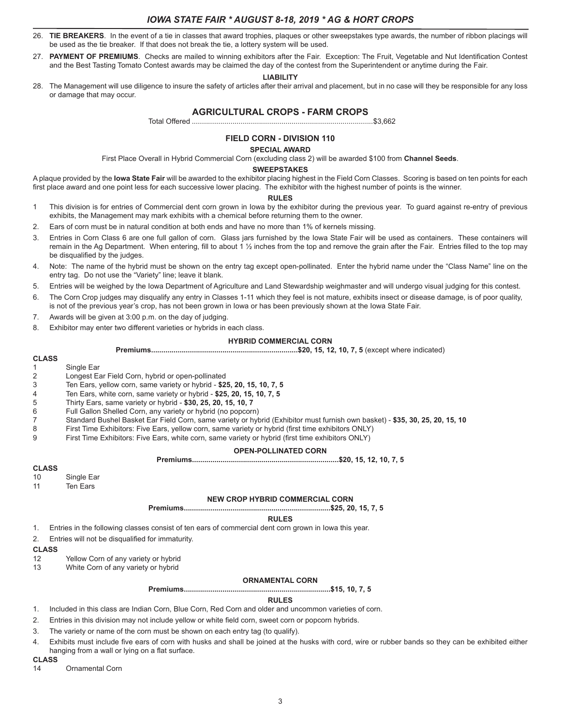- 26. **TIE BREAKERS**. In the event of a tie in classes that award trophies, plaques or other sweepstakes type awards, the number of ribbon placings will be used as the tie breaker. If that does not break the tie, a lottery system will be used.
- 27. **PAYMENT OF PREMIUMS**. Checks are mailed to winning exhibitors after the Fair. Exception: The Fruit, Vegetable and Nut Identification Contest and the Best Tasting Tomato Contest awards may be claimed the day of the contest from the Superintendent or anytime during the Fair.

#### **LIABILITY**

28. The Management will use diligence to insure the safety of articles after their arrival and placement, but in no case will they be responsible for any loss or damage that may occur.

### **AGRICULTURAL CROPS - FARM CROPS**

Total Offered .........................................................................................\$3,662

# **FIELD CORN - DIVISION 110**

**SPECIAL AWARD**

First Place Overall in Hybrid Commercial Corn (excluding class 2) will be awarded \$100 from **Channel Seeds**.

#### **SWEEPSTAKES**

A plaque provided by the **Iowa State Fair** will be awarded to the exhibitor placing highest in the Field Corn Classes. Scoring is based on ten points for each first place award and one point less for each successive lower placing. The exhibitor with the highest number of points is the winner.

#### **RULES**

- 1 This division is for entries of Commercial dent corn grown in Iowa by the exhibitor during the previous year. To guard against re-entry of previous exhibits, the Management may mark exhibits with a chemical before returning them to the owner.
- 2. Ears of corn must be in natural condition at both ends and have no more than 1% of kernels missing.
- 3. Entries in Corn Class 6 are one full gallon of corn. Glass jars furnished by the Iowa State Fair will be used as containers. These containers will remain in the Ag Department. When entering, fill to about 1 1/2 inches from the top and remove the grain after the Fair. Entries filled to the top may be disqualified by the judges.
- 4. Note: The name of the hybrid must be shown on the entry tag except open-pollinated. Enter the hybrid name under the "Class Name" line on the entry tag. Do not use the "Variety" line; leave it blank.
- 5. Entries will be weighed by the Iowa Department of Agriculture and Land Stewardship weighmaster and will undergo visual judging for this contest.
- 6. The Corn Crop judges may disqualify any entry in Classes 1-11 which they feel is not mature, exhibits insect or disease damage, is of poor quality, is not of the previous year's crop, has not been grown in Iowa or has been previously shown at the Iowa State Fair.
- 7. Awards will be given at 3:00 p.m. on the day of judging.
- 8. Exhibitor may enter two different varieties or hybrids in each class.

#### **HYBRID COMMERCIAL CORN**

**Premiums........................................................................\$20, 15, 12, 10, 7, 5** (except where indicated)

#### **CLASS**

- 1 Single Ear
- 2 Longest Ear Field Corn, hybrid or open-pollinated
- 3 Ten Ears, yellow corn, same variety or hybrid **\$25, 20, 15, 10, 7, 5**
- 4 Ten Ears, white corn, same variety or hybrid **\$25, 20, 15, 10, 7, 5**
- 5 Thirty Ears, same variety or hybrid **\$30, 25, 20, 15, 10, 7**
- Full Gallon Shelled Corn, any variety or hybrid (no popcorn)
- 7 Standard Bushel Basket Ear Field Corn, same variety or hybrid (Exhibitor must furnish own basket) **\$35, 30, 25, 20, 15, 10**
- 8 First Time Exhibitors: Five Ears, yellow corn, same variety or hybrid (first time exhibitors ONLY)<br>9 First Time Exhibitors: Five Ears, white corn, same variety or hybrid (first time exhibitors ONLY)
- First Time Exhibitors: Five Ears, white corn, same variety or hybrid (first time exhibitors ONLY)

#### **OPEN-POLLINATED CORN**

**Premiums........................................................................\$20, 15, 12, 10, 7, 5**

# **CLASS**

- Single Ear
- 11 Ten Ears

#### **NEW CROP HYBRID COMMERCIAL CORN**

**Premiums........................................................................\$25, 20, 15, 7, 5**

#### **RULES**

1. Entries in the following classes consist of ten ears of commercial dent corn grown in Iowa this year.

2. Entries will not be disqualified for immaturity.

# **CLASS**

- Yellow Corn of any variety or hybrid
- 13 White Corn of any variety or hybrid

#### **ORNAMENTAL CORN**

**Premiums........................................................................\$15, 10, 7, 5**

#### **RULES**

- 1. Included in this class are Indian Corn, Blue Corn, Red Corn and older and uncommon varieties of corn.
- 2. Entries in this division may not include yellow or white field corn, sweet corn or popcorn hybrids.
- 3. The variety or name of the corn must be shown on each entry tag (to qualify).
- 4. Exhibits must include five ears of corn with husks and shall be joined at the husks with cord, wire or rubber bands so they can be exhibited either hanging from a wall or lying on a flat surface.

#### **CLASS**

14 Ornamental Corn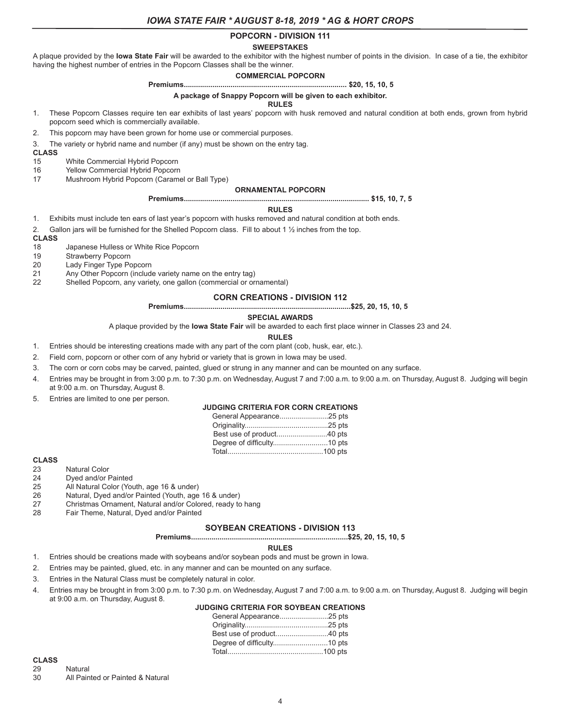# **POPCORN - DIVISION 111**

#### **SWEEPSTAKES**

A plaque provided by the **Iowa State Fair** will be awarded to the exhibitor with the highest number of points in the division. In case of a tie, the exhibitor having the highest number of entries in the Popcorn Classes shall be the winner.

#### **COMMERCIAL POPCORN**

#### **Premiums................................................................................ \$20, 15, 10, 5**

#### **A package of Snappy Popcorn will be given to each exhibitor.**

#### **RULES**

1. These Popcorn Classes require ten ear exhibits of last years' popcorn with husk removed and natural condition at both ends, grown from hybrid popcorn seed which is commercially available.

2. This popcorn may have been grown for home use or commercial purposes.

3. The variety or hybrid name and number (if any) must be shown on the entry tag.

**CLASS**

15 White Commercial Hybrid Popcorn<br>16 Yellow Commercial Hybrid Popcorn

- Yellow Commercial Hybrid Popcorn
- 17 Mushroom Hybrid Popcorn (Caramel or Ball Type)

#### **ORNAMENTAL POPCORN**

**Premiums........................................................................................... \$15, 10, 7, 5**

#### **RULES**

1. Exhibits must include ten ears of last year's popcorn with husks removed and natural condition at both ends.

2. Gallon jars will be furnished for the Shelled Popcorn class. Fill to about 1 ½ inches from the top.

# **CLASS**

18 Japanese Hulless or White Rice Popcorn<br>19 Strawberry Popcorn

Strawberry Popcorn

- 20 Lady Finger Type Popcorn<br>21 Any Other Popcorn (include Any Other Popcorn (include variety name on the entry tag)
- 22 Shelled Popcorn, any variety, one gallon (commercial or ornamental)

#### **CORN CREATIONS - DIVISION 112**

**Premiums..................................................................................\$25, 20, 15, 10, 5**

#### **SPECIAL AWARDS**

A plaque provided by the **Iowa State Fair** will be awarded to each first place winner in Classes 23 and 24.

#### **RULES**

- 1. Entries should be interesting creations made with any part of the corn plant (cob, husk, ear, etc.).
- 2. Field corn, popcorn or other corn of any hybrid or variety that is grown in Iowa may be used.
- 3. The corn or corn cobs may be carved, painted, glued or strung in any manner and can be mounted on any surface.
- 4. Entries may be brought in from 3:00 p.m. to 7:30 p.m. on Wednesday, August 7 and 7:00 a.m. to 9:00 a.m. on Thursday, August 8. Judging will begin at 9:00 a.m. on Thursday, August 8.
- 5. Entries are limited to one per person.

#### **JUDGING CRITERIA FOR CORN CREATIONS**

# **CLASS**

- **Natural Color**
- 24 Dyed and/or Painted
- 25 All Natural Color (Youth, age 16 & under)
- 26 Natural, Dyed and/or Painted (Youth, age 16 & under)
- 27 Christmas Ornament, Natural and/or Colored, ready to hang<br>28 Fair Theme. Natural. Dved and/or Painted
- Fair Theme, Natural, Dyed and/or Painted

#### **SOYBEAN CREATIONS - DIVISION 113**

**Premiums.............................................................................\$25, 20, 15, 10, 5**

#### **RULES**

- 1. Entries should be creations made with soybeans and/or soybean pods and must be grown in Iowa.
- 2. Entries may be painted, glued, etc. in any manner and can be mounted on any surface.
- 3. Entries in the Natural Class must be completely natural in color.
- 4. Entries may be brought in from 3:00 p.m. to 7:30 p.m. on Wednesday, August 7 and 7:00 a.m. to 9:00 a.m. on Thursday, August 8. Judging will begin at 9:00 a.m. on Thursday, August 8.

### **JUDGING CRITERIA FOR SOYBEAN CREATIONS**

# **CLASS**

Natural 30 All Painted or Painted & Natural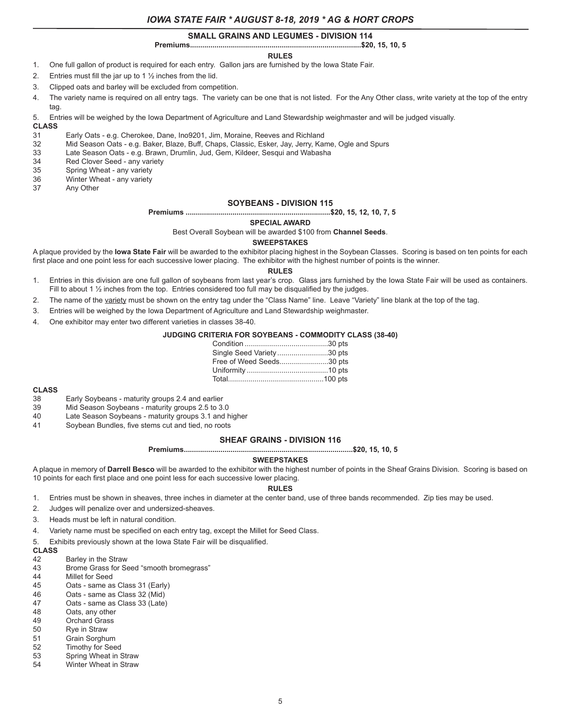#### **SMALL GRAINS AND LEGUMES - DIVISION 114**

#### **Premiums....................................................................................\$20, 15, 10, 5**

#### **RULES**

- 1. One full gallon of product is required for each entry. Gallon jars are furnished by the Iowa State Fair.
- 2. Entries must fill the jar up to 1  $\frac{1}{2}$  inches from the lid.
- 3. Clipped oats and barley will be excluded from competition.
- 4. The variety name is required on all entry tags. The variety can be one that is not listed. For the Any Other class, write variety at the top of the entry tag.
- 5. Entries will be weighed by the Iowa Department of Agriculture and Land Stewardship weighmaster and will be judged visually.

**CLASS**

- 31 Early Oats e.g. Cherokee, Dane, Ino9201, Jim, Moraine, Reeves and Richland
- 32 Mid Season Oats e.g. Baker, Blaze, Buff, Chaps, Classic, Esker, Jay, Jerry, Kame, Ogle and Spurs<br>33 Late Season Oats e.g. Brawn, Drumlin, Jud, Gem, Kildeer, Sesqui and Wabasha
- Late Season Oats e.g. Brawn, Drumlin, Jud, Gem, Kildeer, Sesqui and Wabasha
- 34 Red Clover Seed any variety<br>35 Spring Wheat any variety
- Spring Wheat any variety
- 36 Winter Wheat any variety
- 37 Any Other

#### **SOYBEANS - DIVISION 115**

**Premiums .......................................................................\$20, 15, 12, 10, 7, 5**

#### **SPECIAL AWARD**

Best Overall Soybean will be awarded \$100 from **Channel Seeds**.

### **SWEEPSTAKES**

A plaque provided by the **Iowa State Fair** will be awarded to the exhibitor placing highest in the Soybean Classes. Scoring is based on ten points for each first place and one point less for each successive lower placing. The exhibitor with the highest number of points is the winner.

#### **RULES**

- 1. Entries in this division are one full gallon of soybeans from last year's crop. Glass jars furnished by the Iowa State Fair will be used as containers. Fill to about 1  $\frac{1}{2}$  inches from the top. Entries considered too full may be disqualified by the judges.
- 2. The name of the variety must be shown on the entry tag under the "Class Name" line. Leave "Variety" line blank at the top of the tag.
- 3. Entries will be weighed by the Iowa Department of Agriculture and Land Stewardship weighmaster.
- 4. One exhibitor may enter two different varieties in classes 38-40.

#### **JUDGING CRITERIA FOR SOYBEANS - COMMODITY CLASS (38-40)**

| Single Seed Variety30 pts |  |
|---------------------------|--|
| Free of Weed Seeds30 pts  |  |
|                           |  |
|                           |  |

#### **CLASS**

- 38 Early Soybeans maturity groups 2.4 and earlier
- 39 Mid Season Soybeans maturity groups 2.5 to 3.0
- Late Season Soybeans maturity groups 3.1 and higher
- 41 Soybean Bundles, five stems cut and tied, no roots

#### **SHEAF GRAINS - DIVISION 116**

#### **Premiums...................................................................................\$20, 15, 10, 5**

#### **SWEEPSTAKES**

A plaque in memory of **Darrell Besco** will be awarded to the exhibitor with the highest number of points in the Sheaf Grains Division. Scoring is based on 10 points for each first place and one point less for each successive lower placing.

#### **RULES**

- 1. Entries must be shown in sheaves, three inches in diameter at the center band, use of three bands recommended. Zip ties may be used.
- 2. Judges will penalize over and undersized-sheaves.
- 3. Heads must be left in natural condition.
- 4. Variety name must be specified on each entry tag, except the Millet for Seed Class.
- 5. Exhibits previously shown at the Iowa State Fair will be disqualified.

# **CLASS**

- Barley in the Straw
- 43 Brome Grass for Seed "smooth bromegrass"
- 44 Millet for Seed<br>45 Oats same as
- Oats same as Class 31 (Early)
- 46 Oats same as Class 32 (Mid)<br>47 Oats same as Class 33 (Late)
- Oats same as Class 33 (Late)
- 48 Oats, any other
- 
- 49 Orchard Grass<br>50 Rye in Straw 50 Rye in Straw<br>51 Grain Sorghu
- Grain Sorghum
- 52 Timothy for Seed
- 53 Spring Wheat in Straw
- 54 Winter Wheat in Straw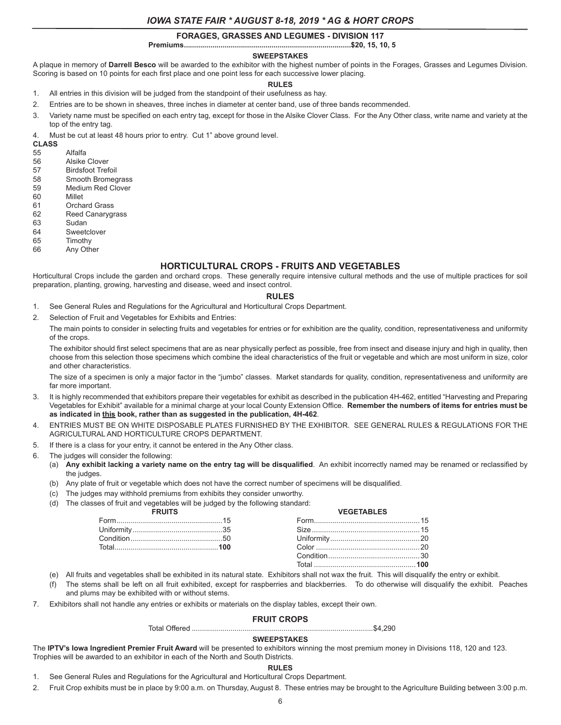### **FORAGES, GRASSES AND LEGUMES - DIVISION 117**

**Premiums..................................................................................\$20, 15, 10, 5**

### **SWEEPSTAKES**

A plaque in memory of **Darrell Besco** will be awarded to the exhibitor with the highest number of points in the Forages, Grasses and Legumes Division. Scoring is based on 10 points for each first place and one point less for each successive lower placing.

#### **RULES**

- 1. All entries in this division will be judged from the standpoint of their usefulness as hay.
- 2. Entries are to be shown in sheaves, three inches in diameter at center band, use of three bands recommended.
- 3. Variety name must be specified on each entry tag, except for those in the Alsike Clover Class. For the Any Other class, write name and variety at the top of the entry tag.

4. Must be cut at least 48 hours prior to entry. Cut 1" above ground level.

**CLASS**

- **Alfalfa**
- 56 Alsike Clover
- 57 Birdsfoot Trefoil
- 58 Smooth Bromegrass
- 59 Medium Red Clover<br>60 Millet **Millet**
- 
- 61 Orchard Grass 62 Reed Canarygrass
- 63 Sudan
- 64 Sweetclover
- 65 Timothy
- 66 Any Other

#### **HORTICULTURAL CROPS - FRUITS AND VEGETABLES**

Horticultural Crops include the garden and orchard crops. These generally require intensive cultural methods and the use of multiple practices for soil preparation, planting, growing, harvesting and disease, weed and insect control.

#### **RULES**

- 1. See General Rules and Regulations for the Agricultural and Horticultural Crops Department.
- 2. Selection of Fruit and Vegetables for Exhibits and Entries:

The main points to consider in selecting fruits and vegetables for entries or for exhibition are the quality, condition, representativeness and uniformity of the crops.

The exhibitor should first select specimens that are as near physically perfect as possible, free from insect and disease injury and high in quality, then choose from this selection those specimens which combine the ideal characteristics of the fruit or vegetable and which are most uniform in size, color and other characteristics.

The size of a specimen is only a major factor in the "jumbo" classes. Market standards for quality, condition, representativeness and uniformity are far more important.

- 3. It is highly recommended that exhibitors prepare their vegetables for exhibit as described in the publication 4H-462, entitled "Harvesting and Preparing Vegetables for Exhibit" available for a minimal charge at your local County Extension Office. **Remember the numbers of items for entries must be as indicated in this book, rather than as suggested in the publication, 4H-462**.
- 4. ENTRIES MUST BE ON WHITE DISPOSABLE PLATES FURNISHED BY THE EXHIBITOR. SEE GENERAL RULES & REGULATIONS FOR THE AGRICULTURAL AND HORTICULTURE CROPS DEPARTMENT.
- 5. If there is a class for your entry, it cannot be entered in the Any Other class.
- 6. The judges will consider the following:
	- (a) **Any exhibit lacking a variety name on the entry tag will be disqualified**. An exhibit incorrectly named may be renamed or reclassified by the judges.
	- (b) Any plate of fruit or vegetable which does not have the correct number of specimens will be disqualified.
	- (c) The judges may withhold premiums from exhibits they consider unworthy.
	- (d) The classes of fruit and vegetables will be judged by the following standard:

|  | VFGFTARI FS |  |
|--|-------------|--|
|  |             |  |
|  |             |  |
|  |             |  |
|  |             |  |
|  | ndition 30  |  |
|  |             |  |

- (e) All fruits and vegetables shall be exhibited in its natural state. Exhibitors shall not wax the fruit. This will disqualify the entry or exhibit.
- (f) The stems shall be left on all fruit exhibited, except for raspberries and blackberries. To do otherwise will disqualify the exhibit. Peaches and plums may be exhibited with or without stems.
- 7. Exhibitors shall not handle any entries or exhibits or materials on the display tables, except their own.

# **FRUIT CROPS**

Total Offered .........................................................................................\$4,290

# **SWEEPSTAKES**

The **IPTV's Iowa Ingredient Premier Fruit Award** will be presented to exhibitors winning the most premium money in Divisions 118, 120 and 123. Trophies will be awarded to an exhibitor in each of the North and South Districts.

#### **RULES**

- 1. See General Rules and Regulations for the Agricultural and Horticultural Crops Department.
- 2. Fruit Crop exhibits must be in place by 9:00 a.m. on Thursday, August 8. These entries may be brought to the Agriculture Building between 3:00 p.m.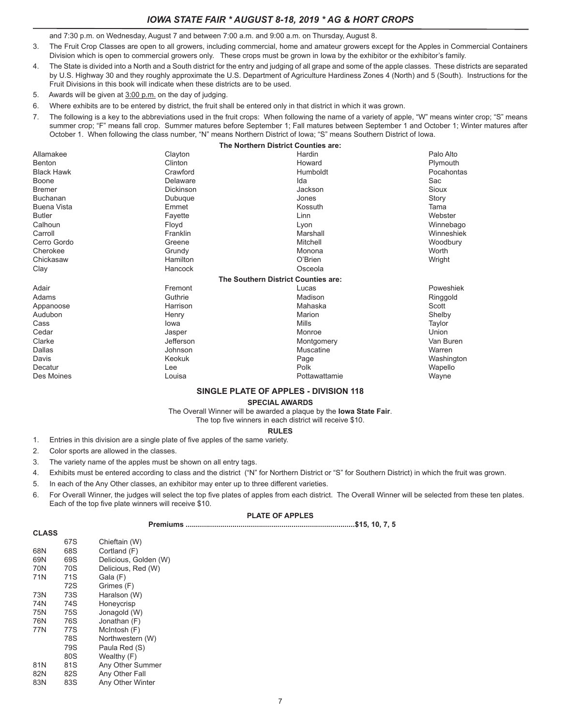and 7:30 p.m. on Wednesday, August 7 and between 7:00 a.m. and 9:00 a.m. on Thursday, August 8.

- 3. The Fruit Crop Classes are open to all growers, including commercial, home and amateur growers except for the Apples in Commercial Containers Division which is open to commercial growers only. These crops must be grown in Iowa by the exhibitor or the exhibitor's family.
- 4. The State is divided into a North and a South district for the entry and judging of all grape and some of the apple classes. These districts are separated by U.S. Highway 30 and they roughly approximate the U.S. Department of Agriculture Hardiness Zones 4 (North) and 5 (South). Instructions for the Fruit Divisions in this book will indicate when these districts are to be used.
- 5. Awards will be given at 3:00 p.m. on the day of judging.
- 6. Where exhibits are to be entered by district, the fruit shall be entered only in that district in which it was grown.
- 7. The following is a key to the abbreviations used in the fruit crops: When following the name of a variety of apple, "W" means winter crop; "S" means summer crop; "F" means fall crop. Summer matures before September 1; Fall matures between September 1 and October 1; Winter matures after October 1. When following the class number, "N" means Northern District of Iowa; "S" means Southern District of Iowa.

|                    | The Northern District Counties are: |               |            |
|--------------------|-------------------------------------|---------------|------------|
| Allamakee          | Clayton                             | Hardin        | Palo Alto  |
| Benton             | Clinton                             | Howard        | Plymouth   |
| <b>Black Hawk</b>  | Crawford                            | Humboldt      | Pocahontas |
| Boone              | Delaware                            | Ida           | Sac        |
| <b>Bremer</b>      | Dickinson                           | Jackson       | Sioux      |
| <b>Buchanan</b>    | Dubuque                             | Jones         | Story      |
| <b>Buena Vista</b> | Emmet                               | Kossuth       | Tama       |
| <b>Butler</b>      | Fayette                             | Linn          | Webster    |
| Calhoun            | Floyd                               | Lyon          | Winnebago  |
| Carroll            | Franklin                            | Marshall      | Winneshiek |
| Cerro Gordo        | Greene                              | Mitchell      | Woodbury   |
| Cherokee           | Grundy                              | Monona        | Worth      |
| Chickasaw          | Hamilton                            | O'Brien       | Wright     |
| Clay               | Hancock                             | Osceola       |            |
|                    | The Southern District Counties are: |               |            |
| Adair              | Fremont                             | Lucas         | Poweshiek  |
| Adams              | Guthrie                             | Madison       | Ringgold   |
| Appanoose          | Harrison                            | Mahaska       | Scott      |
| Audubon            | Henry                               | Marion        | Shelby     |
| Cass               | lowa                                | Mills         | Taylor     |
| Cedar              | Jasper                              | Monroe        | Union      |
| Clarke             | Jefferson                           | Montgomery    | Van Buren  |
| Dallas             | Johnson                             | Muscatine     | Warren     |
| Davis              | Keokuk                              | Page          | Washington |
| Decatur            | Lee                                 | Polk          | Wapello    |
| Des Moines         | Louisa                              | Pottawattamie | Wayne      |

#### **SINGLE PLATE OF APPLES - DIVISION 118**

**SPECIAL AWARDS**

The Overall Winner will be awarded a plaque by the **Iowa State Fair**.

The top five winners in each district will receive \$10. **RULES**

- 1. Entries in this division are a single plate of five apples of the same variety.
- 2. Color sports are allowed in the classes.
- 3. The variety name of the apples must be shown on all entry tags.
- 4. Exhibits must be entered according to class and the district ("N" for Northern District or "S" for Southern District) in which the fruit was grown.
- 5. In each of the Any Other classes, an exhibitor may enter up to three different varieties.
- 6. For Overall Winner, the judges will select the top five plates of apples from each district. The Overall Winner will be selected from these ten plates. Each of the top five plate winners will receive \$10.

#### **PLATE OF APPLES**

|--|--|--|--|--|--|--|

| <b>CLASS</b> |     |                       |
|--------------|-----|-----------------------|
|              | 67S | Chieftain (W)         |
| 68N          | 68S | Cortland (F)          |
| 69N          | 69S | Delicious, Golden (W) |
| 70N          | 70S | Delicious, Red (W)    |
| 71N          | 71S | Gala (F)              |
|              | 72S | Grimes (F)            |
| 73N          | 73S | Haralson (W)          |
| 74N          | 74S | Honeycrisp            |
| 75N          | 75S | Jonagold (W)          |
| 76N          | 76S | Jonathan (F)          |
| 77N          | 77S | McIntosh (F)          |
|              | 78S | Northwestern (W)      |
|              | 79S | Paula Red (S)         |
|              | 80S | Wealthy (F)           |
| 81N          | 81S | Any Other Summer      |
| 82N          | 82S | Any Other Fall        |
| 83N          | 83S | Any Other Winter      |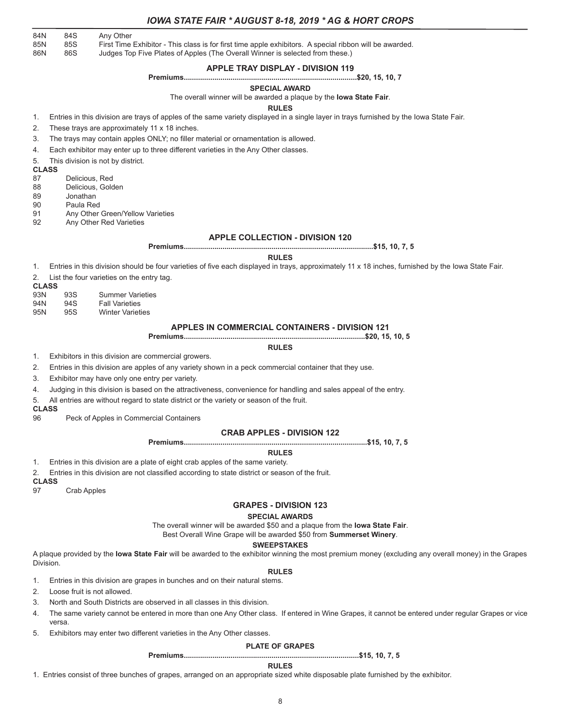| <b>IOWA STATE FAIR * AUGUST 8-18, 2019 * AG &amp; HORT CROPS</b> |  |
|------------------------------------------------------------------|--|
|------------------------------------------------------------------|--|

84N 84S Any Other<br>85N 85S First Time 85N 85S First Time Exhibitor - This class is for first time apple exhibitors. A special ribbon will be awarded.<br>86N 86S Judges Top Five Plates of Apples (The Overall Winner is selected from these.)

86N 86S Judges Top Five Plates of Apples (The Overall Winner is selected from these.)

### **APPLE TRAY DISPLAY - DIVISION 119**

#### **Premiums.....................................................................................\$20, 15, 10, 7**

#### **SPECIAL AWARD**

The overall winner will be awarded a plaque by the **Iowa State Fair**.

#### **RULES**

1. Entries in this division are trays of apples of the same variety displayed in a single layer in trays furnished by the Iowa State Fair.

2. These trays are approximately 11 x 18 inches.

3. The trays may contain apples ONLY; no filler material or ornamentation is allowed.

4. Each exhibitor may enter up to three different varieties in the Any Other classes.

5. This division is not by district.

**CLASS**

- 87 Delicious, Red
- 88 Delicious, Golden<br>89 Donathan
- **Jonathan**

90 Paula Red

- 91 Any Other Green/Yellow Varieties
- 92 Any Other Red Varieties

#### **APPLE COLLECTION - DIVISION 120**

**Premiums.............................................................................................\$15, 10, 7, 5**

#### **RULES**

1. Entries in this division should be four varieties of five each displayed in trays, approximately 11 x 18 inches, furnished by the Iowa State Fair.

2. List the four varieties on the entry tag.

**CLASS**

- 93N 93S Summer Varieties 94N 94S Fall Varieties 95N 95S Winter Varieties
- 

#### **APPLES IN COMMERCIAL CONTAINERS - DIVISION 121**

**Premiums.........................................................................................\$20, 15, 10, 5**

**RULES**

1. Exhibitors in this division are commercial growers.

2. Entries in this division are apples of any variety shown in a peck commercial container that they use.

3. Exhibitor may have only one entry per variety.

4. Judging in this division is based on the attractiveness, convenience for handling and sales appeal of the entry.

5. All entries are without regard to state district or the variety or season of the fruit.

**CLASS**

96 Peck of Apples in Commercial Containers

#### **CRAB APPLES - DIVISION 122**

**Premiums..........................................................................................\$15, 10, 7, 5**

**RULES**

- 1. Entries in this division are a plate of eight crab apples of the same variety.
- 2. Entries in this division are not classified according to state district or season of the fruit.
- 

**CLASS Crab Apples** 

#### **GRAPES - DIVISION 123**

#### **SPECIAL AWARDS**

The overall winner will be awarded \$50 and a plaque from the **Iowa State Fair**.

Best Overall Wine Grape will be awarded \$50 from **Summerset Winery**.

#### **SWEEPSTAKES**

A plaque provided by the **Iowa State Fair** will be awarded to the exhibitor winning the most premium money (excluding any overall money) in the Grapes Division.

- **RULES** 1. Entries in this division are grapes in bunches and on their natural stems.
- 2. Loose fruit is not allowed.
- 3. North and South Districts are observed in all classes in this division.
- 4. The same variety cannot be entered in more than one Any Other class. If entered in Wine Grapes, it cannot be entered under regular Grapes or vice versa.
- 5. Exhibitors may enter two different varieties in the Any Other classes.

#### **PLATE OF GRAPES**

**Premiums......................................................................................\$15, 10, 7, 5**

#### **RULES**

1. Entries consist of three bunches of grapes, arranged on an appropriate sized white disposable plate furnished by the exhibitor.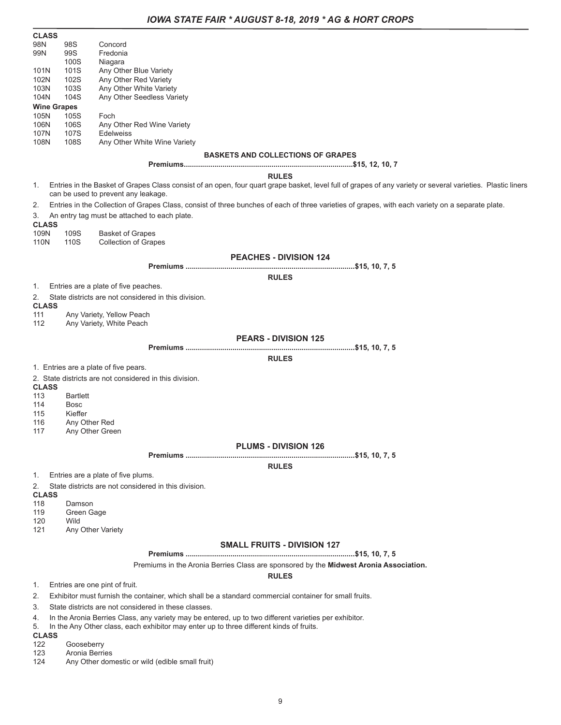| <b>CLASS</b>               |                              |                                                                                                                                                                                                    |
|----------------------------|------------------------------|----------------------------------------------------------------------------------------------------------------------------------------------------------------------------------------------------|
| 98N                        | 98S                          | Concord                                                                                                                                                                                            |
| 99N                        | 99S<br>100S                  | Fredonia<br>Niagara                                                                                                                                                                                |
| 101N                       | 101S                         | Any Other Blue Variety                                                                                                                                                                             |
| 102N                       | 102S                         | Any Other Red Variety                                                                                                                                                                              |
| 103N                       | 103S                         | Any Other White Variety                                                                                                                                                                            |
| 104N<br><b>Wine Grapes</b> | 104S                         | Any Other Seedless Variety                                                                                                                                                                         |
| 105N                       | 105S                         | Foch                                                                                                                                                                                               |
| 106N                       | 106S                         | Any Other Red Wine Variety                                                                                                                                                                         |
| 107N                       | 107S                         | <b>Edelweiss</b>                                                                                                                                                                                   |
| 108N                       | 108S                         | Any Other White Wine Variety                                                                                                                                                                       |
|                            |                              | <b>BASKETS AND COLLECTIONS OF GRAPES</b>                                                                                                                                                           |
|                            |                              | <b>RULES</b>                                                                                                                                                                                       |
| 1.                         |                              | Entries in the Basket of Grapes Class consist of an open, four quart grape basket, level full of grapes of any variety or several varieties. Plastic liners<br>can be used to prevent any leakage. |
| 2.                         |                              | Entries in the Collection of Grapes Class, consist of three bunches of each of three varieties of grapes, with each variety on a separate plate.                                                   |
| 3.<br><b>CLASS</b>         |                              | An entry tag must be attached to each plate.                                                                                                                                                       |
| 109N<br>110N               | 109S<br>110S                 | <b>Basket of Grapes</b><br><b>Collection of Grapes</b>                                                                                                                                             |
|                            |                              | <b>PEACHES - DIVISION 124</b>                                                                                                                                                                      |
|                            |                              |                                                                                                                                                                                                    |
|                            |                              | <b>RULES</b>                                                                                                                                                                                       |
| 1.                         |                              | Entries are a plate of five peaches.                                                                                                                                                               |
| 2.                         |                              | State districts are not considered in this division.                                                                                                                                               |
| <b>CLASS</b><br>111        |                              | Any Variety, Yellow Peach                                                                                                                                                                          |
| 112                        |                              | Any Variety, White Peach                                                                                                                                                                           |
|                            |                              | <b>PEARS - DIVISION 125</b>                                                                                                                                                                        |
|                            |                              |                                                                                                                                                                                                    |
|                            |                              | <b>RULES</b>                                                                                                                                                                                       |
|                            |                              | 1. Entries are a plate of five pears.                                                                                                                                                              |
|                            |                              | 2. State districts are not considered in this division.                                                                                                                                            |
| <b>CLASS</b><br>113        | <b>Bartlett</b>              |                                                                                                                                                                                                    |
| 114                        | Bosc                         |                                                                                                                                                                                                    |
| 115                        | Kieffer                      |                                                                                                                                                                                                    |
| 116                        | Any Other Red                |                                                                                                                                                                                                    |
| 117                        | Any Other Green              |                                                                                                                                                                                                    |
|                            |                              | <b>PLUMS - DIVISION 126</b>                                                                                                                                                                        |
|                            |                              |                                                                                                                                                                                                    |
|                            |                              | <b>RULES</b>                                                                                                                                                                                       |
| 1.                         |                              | Entries are a plate of five plums.<br>State districts are not considered in this division.                                                                                                         |
| 2.<br><b>CLASS</b>         |                              |                                                                                                                                                                                                    |
| 118                        | Damson                       |                                                                                                                                                                                                    |
| 119                        | Green Gage                   |                                                                                                                                                                                                    |
| 120                        | Wild                         |                                                                                                                                                                                                    |
| 121                        | Any Other Variety            |                                                                                                                                                                                                    |
|                            |                              | <b>SMALL FRUITS - DIVISION 127</b>                                                                                                                                                                 |
|                            |                              |                                                                                                                                                                                                    |
|                            |                              | Premiums in the Aronia Berries Class are sponsored by the Midwest Aronia Association.<br><b>RULES</b>                                                                                              |
|                            |                              | 1. Entries are one pint of fruit.                                                                                                                                                                  |
| 2.                         |                              | Exhibitor must furnish the container, which shall be a standard commercial container for small fruits.                                                                                             |
| 3.                         |                              | State districts are not considered in these classes.                                                                                                                                               |
| 4.<br>5.<br><b>CLASS</b>   |                              | In the Aronia Berries Class, any variety may be entered, up to two different varieties per exhibitor.<br>In the Any Other class, each exhibitor may enter up to three different kinds of fruits.   |
| 122<br>123                 | Gooseberry<br>Aronia Berries |                                                                                                                                                                                                    |
|                            |                              |                                                                                                                                                                                                    |

124 Any Other domestic or wild (edible small fruit)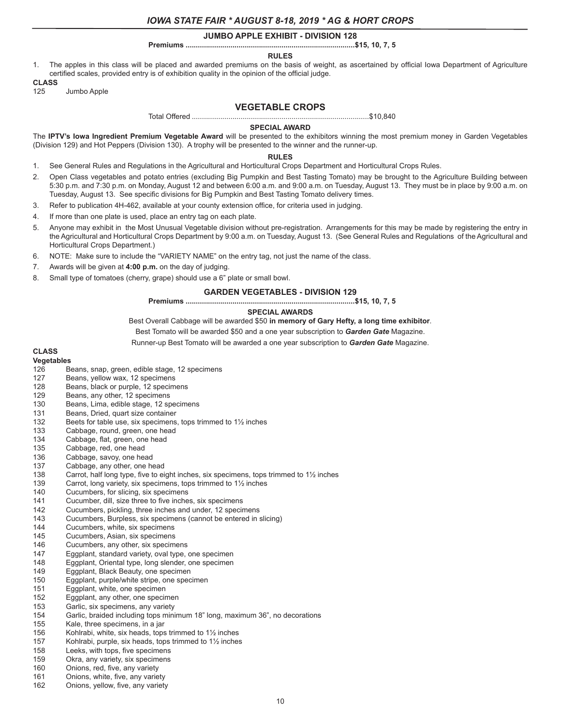#### **JUMBO APPLE EXHIBIT - DIVISION 128**

#### **Premiums ...................................................................................\$15, 10, 7, 5**

#### **RULES**

1. The apples in this class will be placed and awarded premiums on the basis of weight, as ascertained by official Iowa Department of Agriculture certified scales, provided entry is of exhibition quality in the opinion of the official judge.

### **CLASS**

125 Jumbo Apple

### **VEGETABLE CROPS**

Total Offered .......................................................................................\$10,840

#### **SPECIAL AWARD**

The **IPTV's Iowa Ingredient Premium Vegetable Award** will be presented to the exhibitors winning the most premium money in Garden Vegetables (Division 129) and Hot Peppers (Division 130). A trophy will be presented to the winner and the runner-up.

#### **RULES**

- 1. See General Rules and Regulations in the Agricultural and Horticultural Crops Department and Horticultural Crops Rules.
- 2. Open Class vegetables and potato entries (excluding Big Pumpkin and Best Tasting Tomato) may be brought to the Agriculture Building between 5:30 p.m. and 7:30 p.m. on Monday, August 12 and between 6:00 a.m. and 9:00 a.m. on Tuesday, August 13. They must be in place by 9:00 a.m. on Tuesday, August 13. See specific divisions for Big Pumpkin and Best Tasting Tomato delivery times.
- 3. Refer to publication 4H-462, available at your county extension office, for criteria used in judging.
- 4. If more than one plate is used, place an entry tag on each plate.
- 5. Anyone may exhibit in the Most Unusual Vegetable division without pre-registration. Arrangements for this may be made by registering the entry in the Agricultural and Horticultural Crops Department by 9:00 a.m. on Tuesday, August 13. (See General Rules and Regulations of the Agricultural and Horticultural Crops Department.)
- 6. NOTE: Make sure to include the "VARIETY NAME" on the entry tag, not just the name of the class.
- 7. Awards will be given at **4:00 p.m.** on the day of judging.
- 8. Small type of tomatoes (cherry, grape) should use a 6" plate or small bowl.

#### **GARDEN VEGETABLES - DIVISION 129**

#### **Premiums ...................................................................................\$15, 10, 7, 5**

#### **SPECIAL AWARDS**

Best Overall Cabbage will be awarded \$50 **in memory of Gary Hefty, a long time exhibitor**.

Best Tomato will be awarded \$50 and a one year subscription to *Garden Gate* Magazine.

Runner-up Best Tomato will be awarded a one year subscription to *Garden Gate* Magazine.

# **CLASS**

#### **Vegetables**

- 126 Beans, snap, green, edible stage, 12 specimens<br>127 Beans, vellow wax, 12 specimens
- Beans, yellow wax, 12 specimens
- 128 Beans, black or purple, 12 specimens
- 129 Beans, any other, 12 specimens
- 130 Beans, Lima, edible stage, 12 specimens
- 131 Beans, Dried, quart size container
- 132 Beets for table use, six specimens, tops trimmed to 1<sup>1</sup>/<sub>2</sub> inches
- 133 Cabbage, round, green, one head
- 134 Cabbage, flat, green, one head
- 135 Cabbage, red, one head<br>136 Cabbage, savoy, one hea
- Cabbage, savoy, one head
- 137 Cabbage, any other, one head
- 138 Carrot, half long type, five to eight inches, six specimens, tops trimmed to 1<sup>1</sup>/<sub>2</sub> inches
- 139 Carrot, long variety, six specimens, tops trimmed to 1½ inches
- 140 Cucumbers, for slicing, six specimens
- 141 Cucumber, dill, size three to five inches, six specimens<br>142 Cucumbers, pickling, three inches and under, 12 specir
- Cucumbers, pickling, three inches and under, 12 specimens
- 143 Cucumbers, Burpless, six specimens (cannot be entered in slicing)<br>144 Cucumbers, white, six specimens
- Cucumbers, white, six specimens
- 145 Cucumbers, Asian, six specimens
- 
- 146 Cucumbers, any other, six specimens<br>147 Eggplant, standard variety, oval type, Eggplant, standard variety, oval type, one specimen
- 148 Eggplant, Oriental type, long slender, one specimen
- 149 Eggplant, Black Beauty, one specimen
- 150 Eggplant, purple/white stripe, one specimen
- 151 Eggplant, white, one specimen<br>152 Eggplant, any other, one specin
- Eggplant, any other, one specimen
- 153 Garlic, six specimens, any variety
- 154 Garlic, braided including tops minimum 18" long, maximum 36", no decorations
- Kale, three specimens, in a jar
- 156 Kohlrabi, white, six heads, tops trimmed to 1½ inches
- 157 Kohlrabi, purple, six heads, tops trimmed to 1½ inches
- 158 Leeks, with tops, five specimens
- 159 Okra, any variety, six specimens
- 160 Onions, red, five, any variety
- 161 Onions, white, five, any variety
- 162 Onions, yellow, five, any variety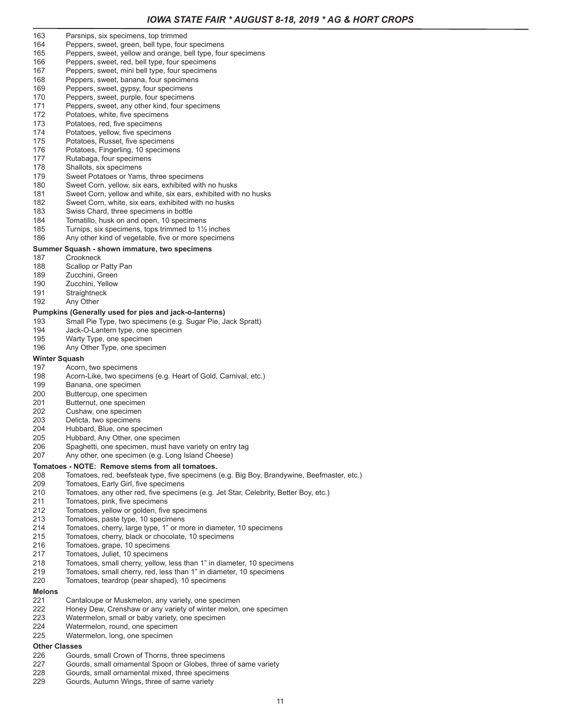- 163 Parsnips, six specimens, top trimmed
- 164 Peppers, sweet, green, bell type, four specimens<br>165 Peppers, sweet, vellow and orange, bell type, four
- Peppers, sweet, yellow and orange, bell type, four specimens
- 166 Peppers, sweet, red, bell type, four specimens
- 167 Peppers, sweet, mini bell type, four specimens
- 168 Peppers, sweet, banana, four specimens
- 169 Peppers, sweet, gypsy, four specimens<br>170 Peppers, sweet, purple, four specimens
- Peppers, sweet, purple, four specimens
- 171 Peppers, sweet, any other kind, four specimens<br>172 Potatoes, white, five specimens
- Potatoes, white, five specimens
- 173 Potatoes, red, five specimens
- 174 Potatoes, yellow, five specimens<br>175 Potatoes, Russet, five speciment
- Potatoes, Russet, five specimens
- 176 Potatoes, Fingerling, 10 specimens
- 177 Rutabaga, four specimens
- 178 Shallots, six specimens
- 179 Sweet Potatoes or Yams, three specimens<br>180 Sweet Corn, vellow, six ears, exhibited with Sweet Corn, yellow, six ears, exhibited with no husks
- 181 Sweet Corn, yellow and white, six ears, exhibited with no husks
- 182 Sweet Corn, white, six ears, exhibited with no husks
- 
- 183 Swiss Chard, three specimens in bottle<br>184 Tomatillo, husk on and open, 10 specim Tomatillo, husk on and open, 10 specimens
- 
- 185 Turnips, six specimens, tops trimmed to 1½ inches 186 Any other kind of vegetable, five or more specimens

# **Summer Squash - shown immature, two specimens**

- 
- 187 Crookneck<br>188 Scallop or Scallop or Patty Pan
- 
- 189 Zucchini, Green<br>190 Zucchini Yellow Zucchini, Yellow
- 191 Straightneck
- 192 Any Other

#### **Pumpkins (Generally used for pies and jack-o-lanterns)**

- 193 Small Pie Type, two specimens (e.g. Sugar Pie, Jack Spratt)
- 194 Jack-O-Lantern type, one specimen<br>195 Warty Type, one specimen
- Warty Type, one specimen
- 196 Any Other Type, one specimen

# **Winter Squash**<br>197 Acorn

- Acorn, two specimens
- 198 Acorn-Like, two specimens (e.g. Heart of Gold, Carnival, etc.)
- 199 Banana, one specimen<br>200 Buttercup, one specime
- Buttercup, one specimen
- 201 Butternut, one specimen
- 202 Cushaw, one specimen
- 
- 203 Delicta, two specimens<br>204 Hubbard, Blue, one spe
- 204 Hubbard, Blue, one specimen<br>205 Hubbard, Any Other, one spec Hubbard, Any Other, one specimen
- 206 Spaghetti, one specimen, must have variety on entry tag
- 207 Any other, one specimen (e.g. Long Island Cheese)

#### **Tomatoes - NOTE: Remove stems from all tomatoes.**

- 208 Tomatoes, red, beefsteak type, five specimens (e.g. Big Boy, Brandywine, Beefmaster, etc.)<br>209 Tomatoes, Early Girl, five specimens
- 209 Tomatoes, Early Girl, five specimens<br>210 Tomatoes, any other red, five specim
- 210 Tomatoes, any other red, five specimens (e.g. Jet Star, Celebrity, Better Boy, etc.)<br>211 Tomatoes, pink, five specimens
- Tomatoes, pink, five specimens
- 212 Tomatoes, yellow or golden, five specimens
- 213 Tomatoes, paste type, 10 specimens
- 214 Tomatoes, cherry, large type, 1" or more in diameter, 10 specimens<br>215 Tomatoes, cherry, black or chocolate, 10 specimens
- 215 Tomatoes, cherry, black or chocolate, 10 specimens<br>216 Tomatoes, grape, 10 specimens
- 216 Tomatoes, grape, 10 specimens<br>217 Tomatoes, Juliet, 10 specimens
- 217 Tomatoes, Juliet, 10 specimens<br>218 Tomatoes, small cherry, vellow.
- Tomatoes, small cherry, yellow, less than 1" in diameter, 10 specimens
- 219 Tomatoes, small cherry, red, less than 1" in diameter, 10 specimens<br>220 Tomatoes, teardrop (pear shaped), 10 specimens
- Tomatoes, teardrop (pear shaped), 10 specimens

# **Melons**

- 221 Cantaloupe or Muskmelon, any variety, one specimen<br>222 Honey Dew. Crenshaw or any variety of winter melon.
- Honey Dew, Crenshaw or any variety of winter melon, one specimen
- 223 Watermelon, small or baby variety, one specimen
- 224 Watermelon, round, one specimen<br>225 Watermelon, long, one specimen
- Watermelon, long, one specimen

# Other Classes<br>226 Gour

- Gourds, small Crown of Thorns, three specimens
- 227 Gourds, small ornamental Spoon or Globes, three of same variety
- 228 Gourds, small ornamental mixed, three specimens
- 229 Gourds, Autumn Wings, three of same variety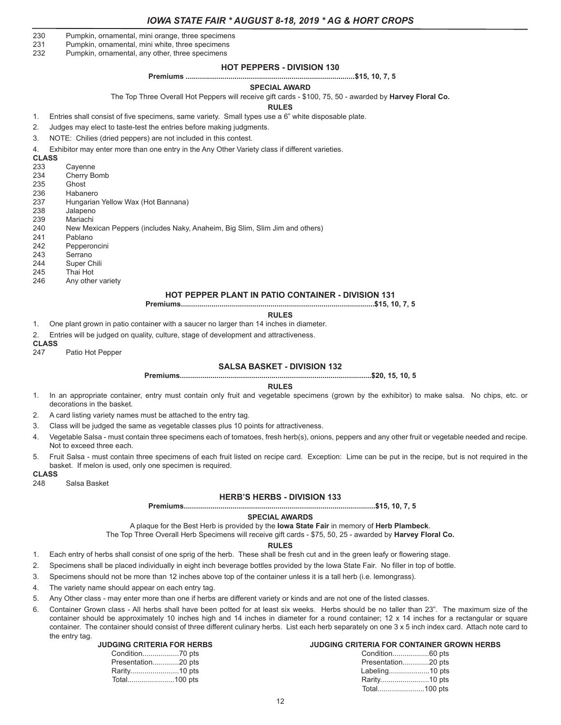- 230 Pumpkin, ornamental, mini orange, three specimens
- 231 Pumpkin, ornamental, mini white, three specimens<br>232 Pumpkin, ornamental, any other, three specimens
- Pumpkin, ornamental, any other, three specimens

#### **HOT PEPPERS - DIVISION 130**

#### **Premiums ...................................................................................\$15, 10, 7, 5**

#### **SPECIAL AWARD**

The Top Three Overall Hot Peppers will receive gift cards - \$100, 75, 50 - awarded by **Harvey Floral Co.**

#### **RULES**

1. Entries shall consist of five specimens, same variety. Small types use a 6" white disposable plate.

- 2. Judges may elect to taste-test the entries before making judgments.
- 3. NOTE: Chilies (dried peppers) are not included in this contest.
- 4. Exhibitor may enter more than one entry in the Any Other Variety class if different varieties.

#### **CLASS**

- 233 Cayenne
- 234 Cherry Bomb<br>235 Ghost
- 235 Ghost<br>236 Haban
- Habanero
- 237 Hungarian Yellow Wax (Hot Bannana)
- 238 Jalapeno
- 239 Mariachi<br>240 New Me
- 240 New Mexican Peppers (includes Naky, Anaheim, Big Slim, Slim Jim and others)<br>241 Pablano
- Pablano
- 242 Pepperoncini
- 243 Serrano
- 244 Super Chili
- 245 Thai Hot<br>246 Any othe
- Any other variety

#### **HOT PEPPER PLANT IN PATIO CONTAINER - DIVISION 131**

**Premiums...............................................................................................\$15, 10, 7, 5**

**RULES**

1. One plant grown in patio container with a saucer no larger than 14 inches in diameter.

2. Entries will be judged on quality, culture, stage of development and attractiveness.

- **CLASS**
- Patio Hot Pepper

### **SALSA BASKET - DIVISION 132**

**Premiums..............................................................................................\$20, 15, 10, 5**

#### **RULES**

- 1. In an appropriate container, entry must contain only fruit and vegetable specimens (grown by the exhibitor) to make salsa. No chips, etc. or decorations in the basket.
- 2. A card listing variety names must be attached to the entry tag.
- 3. Class will be judged the same as vegetable classes plus 10 points for attractiveness.
- 4. Vegetable Salsa must contain three specimens each of tomatoes, fresh herb(s), onions, peppers and any other fruit or vegetable needed and recipe. Not to exceed three each.
- 5. Fruit Salsa must contain three specimens of each fruit listed on recipe card. Exception: Lime can be put in the recipe, but is not required in the basket. If melon is used, only one specimen is required.

#### **CLASS**

248 Salsa Basket

#### **HERB'S HERBS - DIVISION 133**

**Premiums..............................................................................................\$15, 10, 7, 5**

#### **SPECIAL AWARDS**

A plaque for the Best Herb is provided by the **Iowa State Fair** in memory of **Herb Plambeck**.

The Top Three Overall Herb Specimens will receive gift cards - \$75, 50, 25 - awarded by **Harvey Floral Co.**

#### **RULES**

- 1. Each entry of herbs shall consist of one sprig of the herb. These shall be fresh cut and in the green leafy or flowering stage.
- 2. Specimens shall be placed individually in eight inch beverage bottles provided by the Iowa State Fair. No filler in top of bottle.
- 3. Specimens should not be more than 12 inches above top of the container unless it is a tall herb (i.e. lemongrass).
- 4. The variety name should appear on each entry tag.
- 5. Any Other class may enter more than one if herbs are different variety or kinds and are not one of the listed classes.
- 6. Container Grown class All herbs shall have been potted for at least six weeks. Herbs should be no taller than 23". The maximum size of the container should be approximately 10 inches high and 14 inches in diameter for a round container; 12 x 14 inches for a rectangular or square container. The container should consist of three different culinary herbs. List each herb separately on one 3 x 5 inch index card. Attach note card to the entry tag.

#### **JUDGING CRITERIA FOR HERBS**

| Presentation20 pts |  |
|--------------------|--|
|                    |  |
|                    |  |

#### **JUDGING CRITERIA FOR CONTAINER GROWN HERBS**

| Presentation20 pts |  |
|--------------------|--|
| Labeling10 pts     |  |
|                    |  |
| Total100 pts       |  |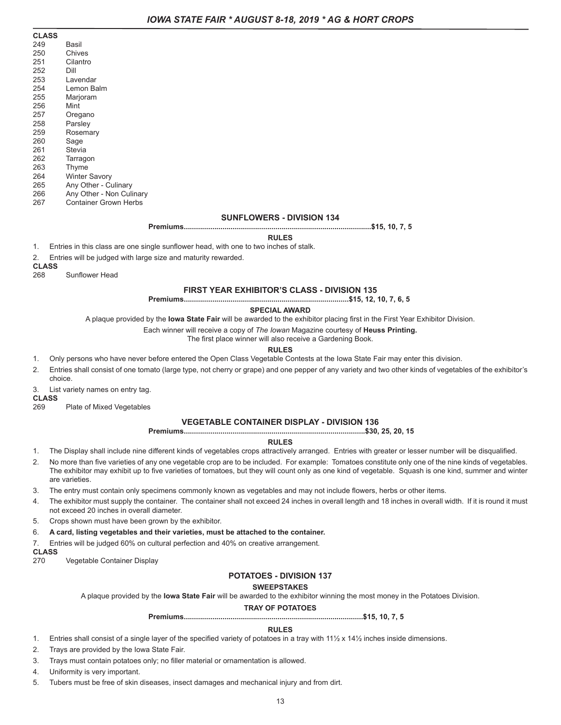| <b>CLASS</b> |                          |
|--------------|--------------------------|
| 249          | Basil                    |
| 250          | Chives                   |
| 251          | Cilantro                 |
| 252          | Dill                     |
| 253          | Lavendar                 |
| 254          | Lemon Balm               |
| 255          | Marjoram                 |
| 256          | Mint                     |
| 257          | Oregano                  |
| 258          | Parsley                  |
| 259          | Rosemary                 |
| 260          | Sage                     |
| 261          | Stevia                   |
| 262          | Tarragon                 |
| 263          | Thyme                    |
| 264          | <b>Winter Savory</b>     |
| 265          | Any Other - Culinary     |
| 266          | Any Other - Non Culinary |
| 267          | Container Grown Herbs    |

#### **SUNFLOWERS - DIVISION 134**

**Premiums............................................................................................\$15, 10, 7, 5**

**RULES**

1. Entries in this class are one single sunflower head, with one to two inches of stalk.

2. Entries will be judged with large size and maturity rewarded.

**CLASS**

268 Sunflower Head

#### **FIRST YEAR EXHIBITOR'S CLASS - DIVISION 135**

**Premiums.................................................................................\$15, 12, 10, 7, 6, 5**

#### **SPECIAL AWARD**

A plaque provided by the **Iowa State Fair** will be awarded to the exhibitor placing first in the First Year Exhibitor Division.

Each winner will receive a copy of *The Iowan* Magazine courtesy of **Heuss Printing.**

The first place winner will also receive a Gardening Book.

#### **RULES**

- 1. Only persons who have never before entered the Open Class Vegetable Contests at the Iowa State Fair may enter this division.
- 2. Entries shall consist of one tomato (large type, not cherry or grape) and one pepper of any variety and two other kinds of vegetables of the exhibitor's choice.
- 3. List variety names on entry tag.

# **CLASS**

Plate of Mixed Vegetables

#### **VEGETABLE CONTAINER DISPLAY - DIVISION 136**

**Premiums.........................................................................................\$30, 25, 20, 15**

#### **RULES**

- 1. The Display shall include nine different kinds of vegetables crops attractively arranged. Entries with greater or lesser number will be disqualified.
- 2. No more than five varieties of any one vegetable crop are to be included. For example: Tomatoes constitute only one of the nine kinds of vegetables. The exhibitor may exhibit up to five varieties of tomatoes, but they will count only as one kind of vegetable. Squash is one kind, summer and winter are varieties.

3. The entry must contain only specimens commonly known as vegetables and may not include flowers, herbs or other items.

- 4. The exhibitor must supply the container. The container shall not exceed 24 inches in overall length and 18 inches in overall width. If it is round it must not exceed 20 inches in overall diameter.
- 5. Crops shown must have been grown by the exhibitor.
- 6. **A card, listing vegetables and their varieties, must be attached to the container.**

7. Entries will be judged 60% on cultural perfection and 40% on creative arrangement.

#### **CLASS**

270 Vegetable Container Display

#### **POTATOES - DIVISION 137**

#### **SWEEPSTAKES**

A plaque provided by the **Iowa State Fair** will be awarded to the exhibitor winning the most money in the Potatoes Division.

### **TRAY OF POTATOES**

**Premiums........................................................................................\$15, 10, 7, 5**

#### **RULES**

- 1. Entries shall consist of a single layer of the specified variety of potatoes in a tray with  $11\frac{1}{2} \times 14\frac{1}{2}$  inches inside dimensions.
- 2. Trays are provided by the Iowa State Fair.
- 3. Trays must contain potatoes only; no filler material or ornamentation is allowed.
- 4. Uniformity is very important.
- 5. Tubers must be free of skin diseases, insect damages and mechanical injury and from dirt.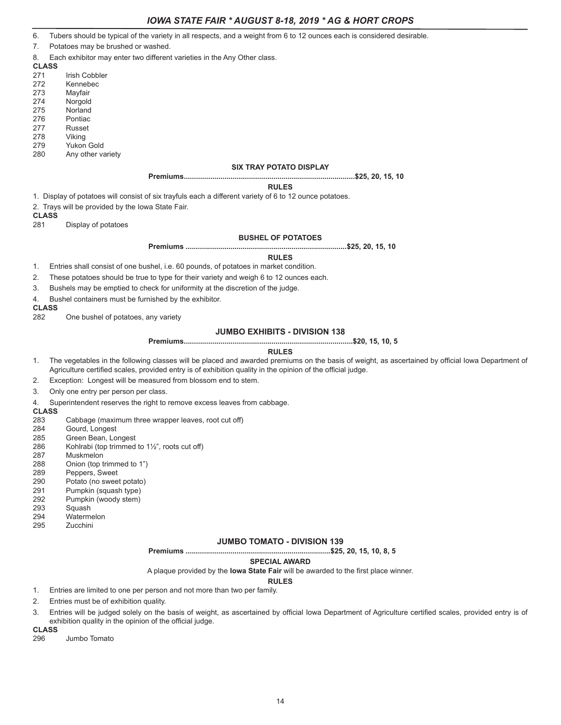6. Tubers should be typical of the variety in all respects, and a weight from 6 to 12 ounces each is considered desirable.

- 7. Potatoes may be brushed or washed.
- 8. Each exhibitor may enter two different varieties in the Any Other class.
- **CLASS**
- Irish Cobbler
- 272 Kennebec
- 273 Mayfair
- 274 Norgold
- 275 Norland<br>276 Pontiac Pontiac
- 277 Russet
- 
- 278 Viking<br>279 Yukon Yukon Gold
- 280 Any other variety

#### **SIX TRAY POTATO DISPLAY**

**Premiums....................................................................................\$25, 20, 15, 10**

#### **RULES**

1. Display of potatoes will consist of six trayfuls each a different variety of 6 to 12 ounce potatoes.

2. Trays will be provided by the Iowa State Fair.

# **CLASS**<br>281

Display of potatoes

#### **BUSHEL OF POTATOES**

**Premiums ...............................................................................\$25, 20, 15, 10**

#### **RULES**

- 1. Entries shall consist of one bushel, i.e. 60 pounds, of potatoes in market condition.
- 2. These potatoes should be true to type for their variety and weigh 6 to 12 ounces each.
- 3. Bushels may be emptied to check for uniformity at the discretion of the judge.
- 4. Bushel containers must be furnished by the exhibitor.

# **CLASS**

One bushel of potatoes, any variety

### **JUMBO EXHIBITS - DIVISION 138**

#### **Premiums...................................................................................\$20, 15, 10, 5**

#### **RULES**

- 1. The vegetables in the following classes will be placed and awarded premiums on the basis of weight, as ascertained by official Iowa Department of Agriculture certified scales, provided entry is of exhibition quality in the opinion of the official judge.
- 2. Exception: Longest will be measured from blossom end to stem.
- 3. Only one entry per person per class.
- 4. Superintendent reserves the right to remove excess leaves from cabbage.

#### **CLASS**

- 283 Cabbage (maximum three wrapper leaves, root cut off)<br>284 Gourd, Longest
- 284 Gourd, Longest
- Green Bean, Longest
- 286 Kohlrabi (top trimmed to 1½", roots cut off)
- 287 Muskmelon
- 288 Onion (top trimmed to 1")
- 289 Peppers, Sweet<br>290 Potato (no swee
- Potato (no sweet potato)
- 291 Pumpkin (squash type)
- 292 Pumpkin (woody stem)<br>293 Squash
- Squash
- 294 Watermelon<br>295 Zucchini
- 295 Zucchini

#### **JUMBO TOMATO - DIVISION 139**

**Premiums .......................................................................\$25, 20, 15, 10, 8, 5**

#### **SPECIAL AWARD**

A plaque provided by the **Iowa State Fair** will be awarded to the first place winner.

#### **RULES**

- 1. Entries are limited to one per person and not more than two per family.
- 2. Entries must be of exhibition quality.
- 3. Entries will be judged solely on the basis of weight, as ascertained by official Iowa Department of Agriculture certified scales, provided entry is of exhibition quality in the opinion of the official judge.

# **CLASS**

Jumbo Tomato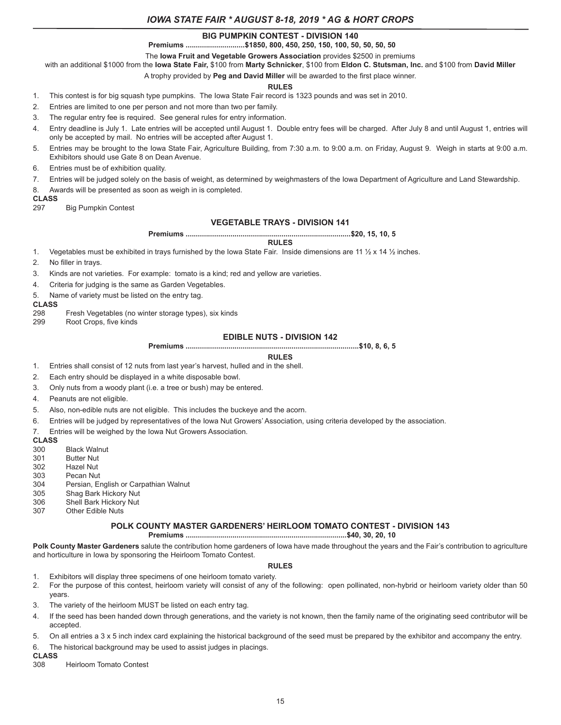# **BIG PUMPKIN CONTEST - DIVISION 140**

**Premiums .............................\$1850, 800, 450, 250, 150, 100, 50, 50, 50, 50**

The **Iowa Fruit and Vegetable Growers Association** provides \$2500 in premiums

with an additional \$1000 from the **Iowa State Fair,** \$100 from **Marty Schnicker**, \$100 from **Eldon C. Stutsman, Inc.** and \$100 from **David Miller**

A trophy provided by **Peg and David Miller** will be awarded to the first place winner.

#### **RULES**

1. This contest is for big squash type pumpkins. The Iowa State Fair record is 1323 pounds and was set in 2010.

2. Entries are limited to one per person and not more than two per family.

3. The regular entry fee is required. See general rules for entry information.

- 4. Entry deadline is July 1. Late entries will be accepted until August 1. Double entry fees will be charged. After July 8 and until August 1, entries will only be accepted by mail. No entries will be accepted after August 1.
- 5. Entries may be brought to the Iowa State Fair, Agriculture Building, from 7:30 a.m. to 9:00 a.m. on Friday, August 9. Weigh in starts at 9:00 a.m. Exhibitors should use Gate 8 on Dean Avenue.
- 6. Entries must be of exhibition quality.
- 7. Entries will be judged solely on the basis of weight, as determined by weighmasters of the Iowa Department of Agriculture and Land Stewardship.
- 8. Awards will be presented as soon as weigh in is completed.

# **CLASS**

**Big Pumpkin Contest** 

### **VEGETABLE TRAYS - DIVISION 141**

**Premiums .................................................................................\$20, 15, 10, 5**

#### **RULES**

1. Vegetables must be exhibited in trays furnished by the Iowa State Fair. Inside dimensions are 11  $\frac{1}{2}$  x 14  $\frac{1}{2}$  inches.

2. No filler in trays.

3. Kinds are not varieties. For example: tomato is a kind; red and yellow are varieties.

- 4. Criteria for judging is the same as Garden Vegetables.
- 5. Name of variety must be listed on the entry tag.

#### **CLASS**

- 298 Fresh Vegetables (no winter storage types), six kinds<br>299 Root Crops, five kinds
- Root Crops, five kinds

### **EDIBLE NUTS - DIVISION 142**

**Premiums .....................................................................................\$10, 8, 6, 5**

#### **RULES**

- 1. Entries shall consist of 12 nuts from last year's harvest, hulled and in the shell.
- 2. Each entry should be displayed in a white disposable bowl.
- 3. Only nuts from a woody plant (i.e. a tree or bush) may be entered.
- 4. Peanuts are not eligible.
- 5. Also, non-edible nuts are not eligible. This includes the buckeye and the acorn.
- 6. Entries will be judged by representatives of the Iowa Nut Growers' Association, using criteria developed by the association.
- 7. Entries will be weighed by the Iowa Nut Growers Association.

# **CLASS**<br>300

- **Black Walnut**
- 301 Butter Nut<br>302 Hazel Nut
- **Hazel Nut**
- 303 Pecan Nut
- 304 Persian, English or Carpathian Walnut<br>305 Shaq Bark Hickory Nut
- Shag Bark Hickory Nut
- 306 Shell Bark Hickory Nut
- 307 Other Edible Nuts

#### **POLK COUNTY MASTER GARDENERS' HEIRLOOM TOMATO CONTEST - DIVISION 143**

### **Premiums ...............................................................................\$40, 30, 20, 10**

**Polk County Master Gardeners** salute the contribution home gardeners of Iowa have made throughout the years and the Fair's contribution to agriculture and horticulture in Iowa by sponsoring the Heirloom Tomato Contest.

#### **RULES**

- 1. Exhibitors will display three specimens of one heirloom tomato variety.
- 2. For the purpose of this contest, heirloom variety will consist of any of the following: open pollinated, non-hybrid or heirloom variety older than 50 years.
- 3. The variety of the heirloom MUST be listed on each entry tag.
- 4. If the seed has been handed down through generations, and the variety is not known, then the family name of the originating seed contributor will be accepted.
- 5. On all entries a 3 x 5 inch index card explaining the historical background of the seed must be prepared by the exhibitor and accompany the entry.
- 6. The historical background may be used to assist judges in placings.

# **CLASS**

**Heirloom Tomato Contest**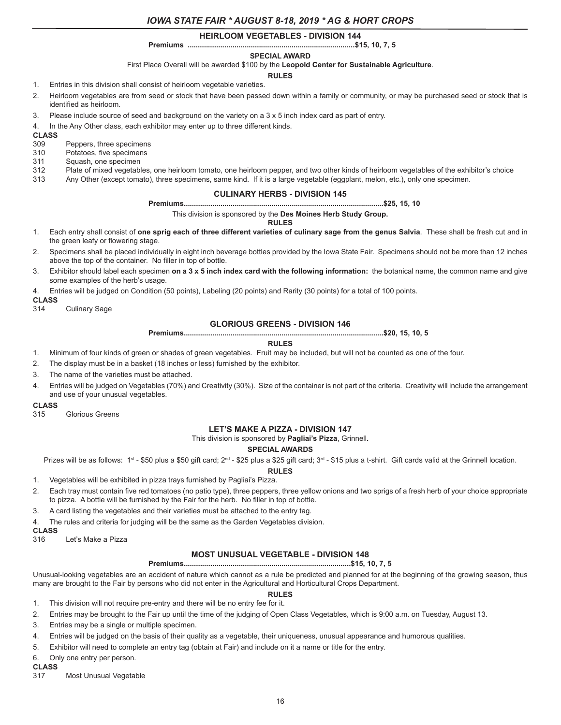### **HEIRLOOM VEGETABLES - DIVISION 144**

#### **Premiums ..................................................................................\$15, 10, 7, 5**

**SPECIAL AWARD**

First Place Overall will be awarded \$100 by the **Leopold Center for Sustainable Agriculture**.

### **RULES**

1. Entries in this division shall consist of heirloom vegetable varieties.

- 2. Heirloom vegetables are from seed or stock that have been passed down within a family or community, or may be purchased seed or stock that is identified as heirloom.
- 3. Please include source of seed and background on the variety on a 3 x 5 inch index card as part of entry.
- 4. In the Any Other class, each exhibitor may enter up to three different kinds.

**CLASS**

309 Peppers, three specimens<br>310 Potatoes, five specimens

- Potatoes, five specimens
- 311 Squash, one specimen
- 312 Plate of mixed vegetables, one heirloom tomato, one heirloom pepper, and two other kinds of heirloom vegetables of the exhibitor's choice
- 313 Any Other (except tomato), three specimens, same kind. If it is a large vegetable (eggplant, melon, etc.), only one specimen.

#### **CULINARY HERBS - DIVISION 145**

**Premiums..................................................................................................\$25, 15, 10**

This division is sponsored by the **Des Moines Herb Study Group.**

**RULES**

- 1. Each entry shall consist of **one sprig each of three different varieties of culinary sage from the genus Salvia**. These shall be fresh cut and in the green leafy or flowering stage.
- 2. Specimens shall be placed individually in eight inch beverage bottles provided by the Iowa State Fair. Specimens should not be more than 12 inches above the top of the container. No filler in top of bottle.
- 3. Exhibitor should label each specimen **on a 3 x 5 inch index card with the following information:** the botanical name, the common name and give some examples of the herb's usage.
- 4. Entries will be judged on Condition (50 points), Labeling (20 points) and Rarity (30 points) for a total of 100 points.

**CLASS**

314 Culinary Sage

### **GLORIOUS GREENS - DIVISION 146**

**Premiums..................................................................................................\$20, 15, 10, 5**

#### **RULES**

- 1. Minimum of four kinds of green or shades of green vegetables. Fruit may be included, but will not be counted as one of the four.
- 2. The display must be in a basket (18 inches or less) furnished by the exhibitor.
- 3. The name of the varieties must be attached.
- 4. Entries will be judged on Vegetables (70%) and Creativity (30%). Size of the container is not part of the criteria. Creativity will include the arrangement and use of your unusual vegetables.

# **CLASS**

Glorious Greens

# **LET'S MAKE A PIZZA - DIVISION 147**

This division is sponsored by **Pagliai's Pizza**, Grinnell**.**

#### **SPECIAL AWARDS**

Prizes will be as follows:  $1^{st}$  - \$50 plus a \$50 gift card;  $2^{nd}$  - \$25 plus a \$25 gift card;  $3^{rd}$  - \$15 plus a t-shirt. Gift cards valid at the Grinnell location.

# **RULES**

- 1. Vegetables will be exhibited in pizza trays furnished by Pagliai's Pizza.
- 2. Each tray must contain five red tomatoes (no patio type), three peppers, three yellow onions and two sprigs of a fresh herb of your choice appropriate to pizza. A bottle will be furnished by the Fair for the herb. No filler in top of bottle.
- 3. A card listing the vegetables and their varieties must be attached to the entry tag.
- 4. The rules and criteria for judging will be the same as the Garden Vegetables division.

#### **CLASS**

316 Let's Make a Pizza

#### **MOST UNUSUAL VEGETABLE - DIVISION 148**

**Premiums..................................................................................\$15, 10, 7, 5**

Unusual-looking vegetables are an accident of nature which cannot as a rule be predicted and planned for at the beginning of the growing season, thus many are brought to the Fair by persons who did not enter in the Agricultural and Horticultural Crops Department.

#### **RULES**

- 1. This division will not require pre-entry and there will be no entry fee for it.
- 2. Entries may be brought to the Fair up until the time of the judging of Open Class Vegetables, which is 9:00 a.m. on Tuesday, August 13.
- 3. Entries may be a single or multiple specimen.
- 4. Entries will be judged on the basis of their quality as a vegetable, their uniqueness, unusual appearance and humorous qualities.
- 5. Exhibitor will need to complete an entry tag (obtain at Fair) and include on it a name or title for the entry.

6. Only one entry per person.

### **CLASS**

317 Most Unusual Vegetable